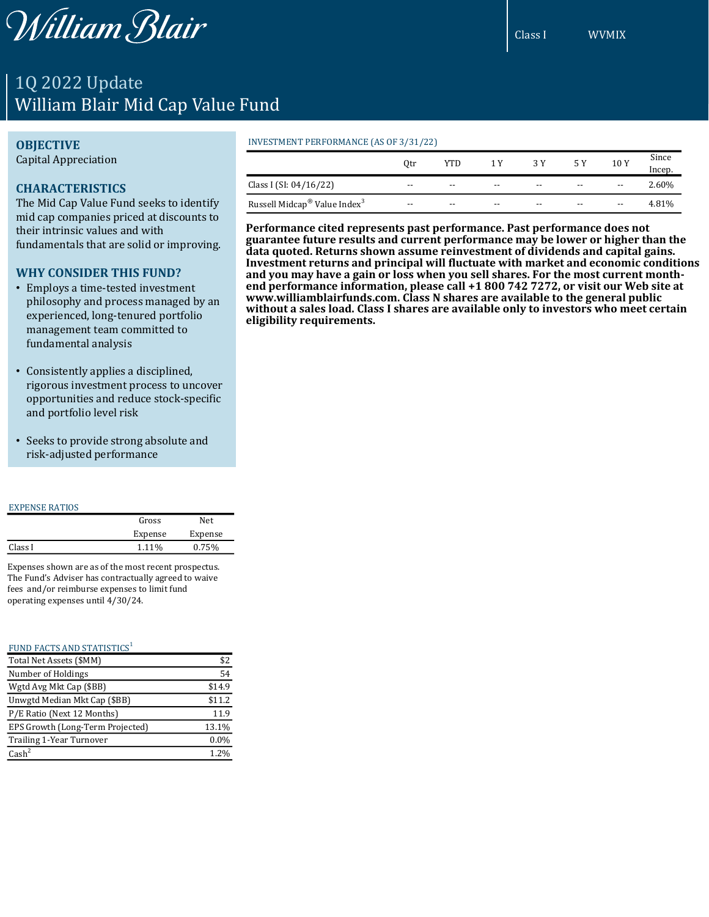William Blair

# 1Q 2022 Update William Blair Mid Cap Value Fund

## **OBJECTIVE**

Capital Appreciation

# **CHARACTERISTICS**

The Mid Cap Value Fund seeks to identify mid cap companies priced at discounts to their intrinsic values and with fundamentals that are solid or improving.

# **WHY CONSIDER THIS FUND?**

- Employs a time-tested investment philosophy and process managed by an experienced, long-tenured portfolio management team committed to fundamental analysis
- Consistently applies a disciplined, rigorous investment process to uncover opportunities and reduce stock-specific and portfolio level risk
- Seeks to provide strong absolute and risk-adjusted performance

#### EXPENSE RATIOS

|         | Gross   | Net.    |
|---------|---------|---------|
|         | Expense | Expense |
| Class I | 1.11%   | 0.75%   |
|         |         |         |

Expenses shown are as of the most recent prospectus. The Fund's Adviser has contractually agreed to waive fees and/or reimburse expenses to limit fund operating expenses until 4/30/24.

| FUND FACTS AND STATISTICS <sup>1</sup> |        |
|----------------------------------------|--------|
| Total Net Assets (\$MM)                | \$2    |
| Number of Holdings                     | 54     |
| Wgtd Avg Mkt Cap (\$BB)                | \$14.9 |
| Unwgtd Median Mkt Cap (\$BB)           | \$11.2 |
| P/E Ratio (Next 12 Months)             | 11.9   |
| EPS Growth (Long-Term Projected)       | 13.1%  |
| Trailing 1-Year Turnover               | 0.0%   |
| $\text{Cash}^2$                        | 1.2%   |

#### INVESTMENT PERFORMANCE (AS OF 3/31/22)

|                                                      | 0tr   | YTD   | 1 Y   | 3 Y   |       | 10Y   | Since<br>Incep. |
|------------------------------------------------------|-------|-------|-------|-------|-------|-------|-----------------|
| Class I (SI: 04/16/22)                               | $- -$ | $- -$ | $- -$ | $- -$ | $- -$ | $- -$ | 2.60%           |
| Russell Midcap <sup>®</sup> Value Index <sup>3</sup> | $- -$ | $- -$ | $- -$ | $- -$ | $- -$ | $- -$ | 4.81%           |

**Performance cited represents past performance. Past performance does not guarantee future results and current performance may be lower or higher than the data quoted. Returns shown assume reinvestment of dividends and capital gains. Investment returns and principal will fluctuate with market and economic conditions and you may have a gain or loss when you sell shares. For the most current monthend performance information, please call +1 800 742 7272, or visit our Web site at www.williamblairfunds.com. Class N shares are available to the general public without a sales load. Class I shares are available only to investors who meet certain eligibility requirements.**